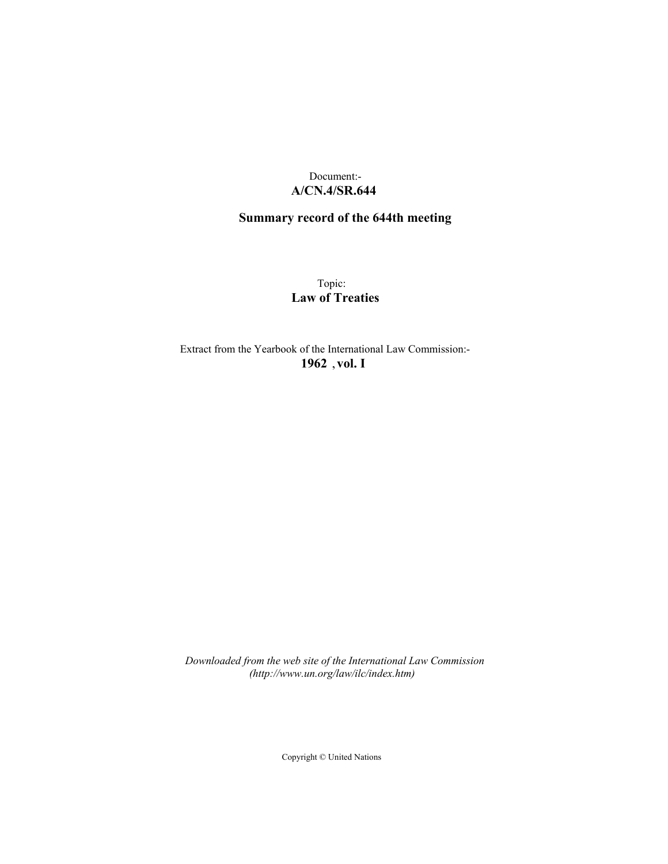# Document:- **A/CN.4/SR.644**

# **Summary record of the 644th meeting**

Topic: **Law of Treaties**

Extract from the Yearbook of the International Law Commission:- **1962** ,**vol. I**

*Downloaded from the web site of the International Law Commission (http://www.un.org/law/ilc/index.htm)*

Copyright © United Nations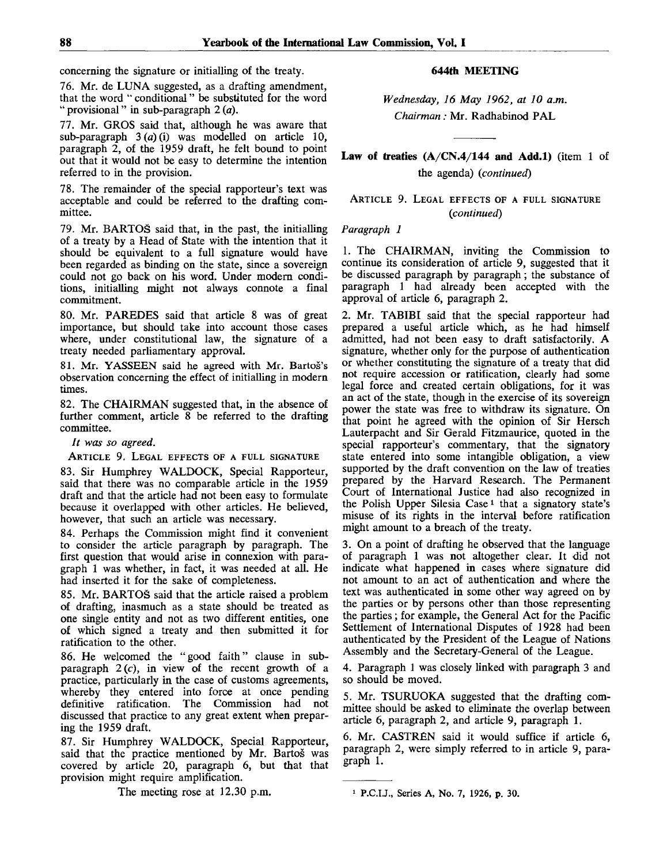concerning the signature or initialling of the treaty.

76. Mr. de LUNA suggested, as a drafting amendment, that the word " conditional" be substituted for the word " provisional" in sub-paragraph 2 *(a).*

77. Mr. GROS said that, although he was aware that sub-paragraph 3 *{a)* (i) was modelled on article 10, paragraph 2, of the 1959 draft, he felt bound to point out that it would not be easy to determine the intention referred to in the provision.

78. The remainder of the special rapporteur's text was acceptable and could be referred to the drafting committee.

79. Mr. BARTOS said that, in the past, the initialling of a treaty by a Head of State with the intention that it should be equivalent to a full signature would have been regarded as binding on the state, since a sovereign could not go back on his word. Under modern conditions, initialling might not always connote a final commitment.

80. Mr. PAREDES said that article 8 was of great importance, but should take into account those cases where, under constitutional law, the signature of a treaty needed parliamentary approval.

81. Mr. YASSEEN said he agreed with Mr. Bartos's observation concerning the effect of initialling in modern times.

82. The CHAIRMAN suggested that, in the absence of further comment, article 8 be referred to the drafting committee.

*It was so agreed.*

ARTICLE 9. LEGAL EFFECTS OF A FULL SIGNATURE

83. Sir Humphrey WALDOCK, Special Rapporteur, said that there was no comparable article in the 1959 draft and that the article had not been easy to formulate because it overlapped with other articles. He believed, however, that such an article was necessary.

84. Perhaps the Commission might find it convenient to consider the article paragraph by paragraph. The first question that would arise in connexion with paragraph 1 was whether, in fact, it was needed at all. He had inserted it for the sake of completeness.

85. Mr. BARTOS said that the article raised a problem of drafting, inasmuch as a state should be treated as one single entity and not as two different entities, one of which signed a treaty and then submitted it for ratification to the other.

86. He welcomed the "good faith" clause in subparagraph  $2(c)$ , in view of the recent growth of a practice, particularly in the case of customs agreements, whereby they entered into force at once pending definitive ratification. The Commission had not discussed that practice to any great extent when preparing the 1959 draft.

87. Sir Humphrey WALDOCK, Special Rapporteur, said that the practice mentioned by Mr. Bartoš was covered by article 20, paragraph 6, but that that provision might require amplification.

The meeting rose at 12.30 p.m.

### **644th MEETING**

*Wednesday, 16 May 1962, at 10 a.m. Chairman:* Mr. Radhabinod PAL

**Law of treaties (A/CN.4/144 and Add.l)** (item 1 of the agenda) *{continued)*

ARTICLE 9. LEGAL EFFECTS OF A FULL SIGNATURE *{continued)*

#### *Paragraph 1*

1. The CHAIRMAN, inviting the Commission to continue its consideration of article 9, suggested that it be discussed paragraph by paragraph; the substance of paragraph 1 had already been accepted with the approval of article 6, paragraph 2.

2. Mr. TABIBI said that the special rapporteur had prepared a useful article which, as he had himself admitted, had not been easy to draft satisfactorily. A signature, whether only for the purpose of authentication or whether constituting the signature of a treaty that did not require accession or ratification, clearly had some legal force and created certain obligations, for it was an act of the state, though in the exercise of its sovereign power the state was free to withdraw its signature. On that point he agreed with the opinion of Sir Hersch Lauterpacht and Sir Gerald Fitzmaurice, quoted in the special rapporteur's commentary, that the signatory state entered into some intangible obligation, a view supported by the draft convention on the law of treaties prepared by the Harvard Research. The Permanent Court of International Justice had also recognized in the Polish Upper Silesia Case<sup>1</sup> that a signatory state's misuse of its rights in the interval before ratification might amount to a breach of the treaty.

3. On a point of drafting he observed that the language of paragraph 1 was not altogether clear. It did not indicate what happened in cases where signature did not amount to an act of authentication and where the text was authenticated in some other way agreed on by the parties or by persons other than those representing the parties ; for example, the General Act for the Pacific Settlement of International Disputes of 1928 had been authenticated by the President of the League of Nations Assembly and the Secretary-General of the League.

4. Paragraph 1 was closely linked with paragraph 3 and so should be moved.

5. Mr. TSURUOKA suggested that the drafting committee should be asked to eliminate the overlap between article 6, paragraph 2, and article 9, paragraph 1.

6. Mr. CASTRÉN said it would suffice if article 6, paragraph 2, were simply referred to in article 9, paragraph 1.

<sup>1</sup> P.C.U., Series A, No. 7, 1926, p. 30.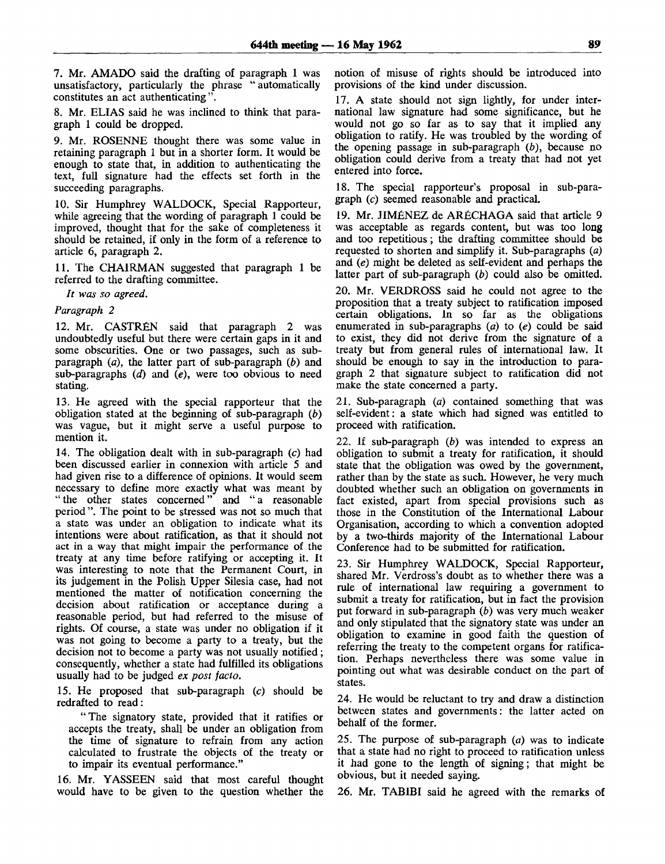7. Mr. AMADO said the drafting of paragraph 1 was unsatisfactory, particularly the phrase " automatically constitutes an act authenticating".

8. Mr. ELIAS said he was inclined to think that paragraph 1 could be dropped.

9. Mr. ROSENNE thought there was some value in retaining paragraph 1 but in a shorter form. It would be enough to state that, in addition to authenticating the text, full signature had the effects set forth in the succeeding paragraphs.

10. Sir Humphrey WALDOCK, Special Rapporteur, while agreeing that the wording of paragraph 1 could be improved, thought that for the sake of completeness it should be retained, if only in the form of a reference to article 6, paragraph 2.

11. The CHAIRMAN suggested that paragraph 1 be referred to the drafting committee.

*It was so agreed.*

*Paragraph 2*

12. Mr. CASTREN said that paragraph 2 was undoubtedly useful but there were certain gaps in it and some obscurities. One or two passages, such as subparagraph *(a),* the latter part of sub-paragraph *(b)* and sub-paragraphs *(d)* and *(e),* were too obvious to need stating.

13. He agreed with the special rapporteur that the obligation stated at the beginning of sub-paragraph  $(b)$ was vague, but it might serve a useful purpose to mention it.

14. The obligation dealt with in sub-paragraph (c) had been discussed earlier in connexion with article 5 and had given rise to a difference of opinions. It would seem necessary to define more exactly what was meant by "the other states concerned" and "a reasonable period ". The point to be stressed was not so much that a state was under an obligation to indicate what its intentions were about ratification, as that it should not act in a way that might impair the performance of the treaty at any time before ratifying or accepting it. It was interesting to note that the Permanent Court, in its judgement in the Polish Upper Silesia case, had not mentioned the matter of notification concerning the decision about ratification or acceptance during a reasonable period, but had referred to the misuse of rights. Of course, a state was under no obligation if it was not going to become a party to a treaty, but the decision not to become a party was not usually notified; consequently, whether a state had fulfilled its obligations usually had to be judged *ex post facto.*

15. He proposed that sub-paragraph (c) should be redrafted to read:

"The signatory state, provided that it ratifies or accepts the treaty, shall be under an obligation from the time of signature to refrain from any action calculated to frustrate the objects of the treaty or to impair its eventual performance."

16. Mr. YASSEEN said that most careful thought would have to be given to the question whether the notion of misuse of rights should be introduced into provisions of the kind under discussion.

17. A state should not sign lightly, for under international law signature had some significance, but he would not go so far as to say that it implied any obligation to ratify. He was troubled by the wording of the opening passage in sub-paragraph *(b),* because no obligation could derive from a treaty that had not yet entered into force.

18. The special rapporteur's proposal in sub-paragraph (c) seemed reasonable and practical.

19. Mr. JIMENEZ de ARECHAGA said that article 9 was acceptable as regards content, but was too long and too repetitious; the drafting committee should be requested to shorten and simplify it. Sub-paragraphs *(a)* and *(e)* might be deleted as self-evident and perhaps the latter part of sub-paragraph *(b)* could also be omitted.

20. Mr. VERDROSS said he could not agree to the proposition that a treaty subject to ratification imposed certain obligations. In so far as the obligations enumerated in sub-paragraphs *(a)* to (e) could be said to exist, they did not derive from the signature of a treaty but from general rules of international law. It should be enough to say in the introduction to paragraph 2 that signature subject to ratification did not make the state concerned a party.

21. Sub-paragraph (a) contained something that was self-evident: a state which had signed was entitled to proceed with ratification.

22. If sub-paragraph *(b)* was intended to express an obligation to submit a treaty for ratification, it should state that the obligation was owed by the government, rather than by the state as such. However, he very much doubted whether such an obligation on governments in fact existed, apart from special provisions such as those in the Constitution of the International Labour Organisation, according to which a convention adopted by a two-thirds majority of the International Labour Conference had to be submitted for ratification.

23. Sir Humphrey WALDOCK, Special Rapporteur, shared Mr. Verdross's doubt as to whether there was a rule of international law requiring a government to submit a treaty for ratification, but in fact the provision put forward in sub-paragraph *(b)* was very much weaker and only stipulated that the signatory state was under an obligation to examine in good faith the question of referring the treaty to the competent organs for ratification. Perhaps nevertheless there was some value in pointing out what was desirable conduct on the part of states.

24. He would be reluctant to try and draw a distinction between states and governments: the latter acted on behalf of the former.

25. The purpose of sub-paragraph *(a)* was to indicate that a state had no right to proceed to ratification unless it had gone to the length of signing; that might be obvious, but it needed saying.

26. Mr. TAB1BI said he agreed with the remarks of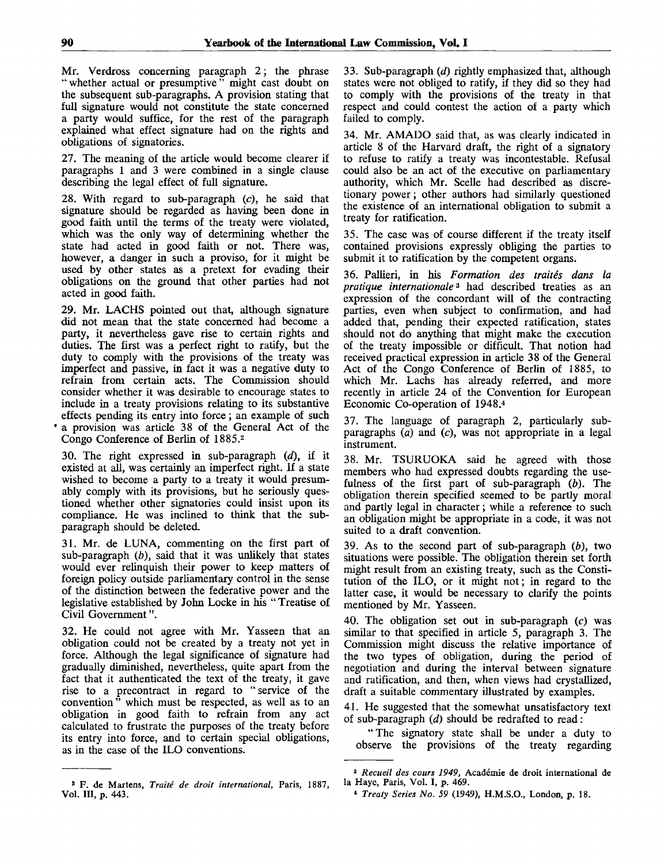Mr. Verdross concerning paragraph 2; the phrase " whether actual or presumptive " might cast doubt on the subsequent sub-paragraphs. A provision stating that full signature would not constitute the state concerned a party would suffice, for the rest of the paragraph explained what effect signature had on the rights and obligations of signatories.

27. The meaning of the article would become clearer if paragraphs 1 and 3 were combined in a single clause describing the legal effect of full signature.

28. With regard to sub-paragraph (c), he said that signature should be regarded as having been done in good faith until the terms of the treaty were violated, which was the only way of determining whether the state had acted in good faith or not. There was, however, a danger in such a proviso, for it might be used by other states as a pretext for evading their obligations on the ground that other parties had not acted in good faith.

29. Mr. LACHS pointed out that, although signature did not mean that the state concerned had become a party, it nevertheless gave rise to certain rights and duties. The first was a perfect right to ratify, but the duty to comply with the provisions of the treaty was imperfect and passive, in fact it was a negative duty to refrain from certain acts. The Commission should consider whether it was desirable to encourage states to include in a treaty provisions relating to its substantive effects pending its entry into force; an example of such • a provision was article 38 of the General Act of the Congo Conference of Berlin of 1885.<sup>2</sup>

30. The right expressed in sub-paragraph *(d),* if it existed at all, was certainly an imperfect right. If a state wished to become a party to a treaty it would presumably comply with its provisions, but he seriously questioned whether other signatories could insist upon its compliance. He was inclined to think that the subparagraph should be deleted.

31. Mr. de LUNA, commenting on the first part of sub-paragraph *(b),* said that it was unlikely that states would ever relinquish their power to keep matters of foreign policy outside parliamentary control in the sense of the distinction between the federative power and the legislative established by John Locke in his " Treatise of Civil Government".

32. He could not agree with Mr. Yasseen that an obligation could not be created by a treaty not yet in force. Although the legal significance of signature had gradually diminished, nevertheless, quite apart from the fact that it authenticated the text of the treaty, it gave rise to a precontract in regard to "service of the convention" which must be respected, as well as to an obligation in good faith to refrain from any act calculated to frustrate the purposes of the treaty before its entry into force, and to certain special obligations, as in the case of the 1LO conventions.

33. Sub-paragraph *id)* rightly emphasized that, although states were not obliged to ratify, if they did so they had to comply with the provisions of the treaty in that respect and could contest the action of a party which failed to comply.

34. Mr. AMADO said that, as was clearly indicated in article 8 of the Harvard draft, the right of a signatory to refuse to ratify a treaty was incontestable. Refusal could also be an act of the executive on parliamentary authority, which Mr. Scelle had described as discretionary power; other authors had similarly questioned the existence of an international obligation to submit a treaty for ratification.

35. The case was of course different if the treaty itself contained provisions expressly obliging the parties to submit it to ratification by the competent organs.

36. Pallieri, in his *Formation des traites dans la pratique Internationale<sup>3</sup>* had described treaties as an expression of the concordant will of the contracting parties, even when subject to confirmation, and had added that, pending their expected ratification, states should not do anything that might make the execution of the treaty impossible or difficult. That notion had received practical expression in article 38 of the General Act of the Congo Conference of Berlin of 1885, to which Mr. Lachs has already referred, and more recently in article 24 of the Convention for European Economic Co-operation of 1948.<sup>4</sup>

37. The language of paragraph 2, particularly subparagraphs  $(a)$  and  $(c)$ , was not appropriate in a legal instrument.

38. Mr. TSURUOKA said he agreed with those members who had expressed doubts regarding the usefulness of the first part of sub-paragraph *(b).* The obligation therein specified seemed to be partly moral and partly legal in character; while a reference to such an obligation might be appropriate in a code, it was not suited to a draft convention.

39. As to the second part of sub-paragraph *(b),* two situations were possible. The obligation therein set forth might result from an existing treaty, such as the Constitution of the ILO, or it might not; in regard to the latter case, it would be necessary to clarify the points mentioned by Mr. Yasseen.

40. The obligation set out in sub-paragraph (c) was similar to that specified in article 5, paragraph 3. The Commission might discuss the relative importance of the two types of obligation, during the period of negotiation and during the interval between signature and ratification, and then, when views had crystallized, draft a suitable commentary illustrated by examples.

41. He suggested that the somewhat unsatisfactory text of sub-paragraph *(d)* should be redrafted to read:

"The signatory state shall be under a duty to observe the provisions of the treaty regarding

<sup>2</sup> F. de Martens, *Traite de droit international,* Paris, 1887, Vol. Ill, p. 443.

<sup>3</sup>  *Recueil des cours 1949,* Academie de droit international de la Haye, Paris, Vol. I, p. 469.

*<sup>\*</sup> Treaty Series No. 59* (1949), H.M.S.O., London, p. 18.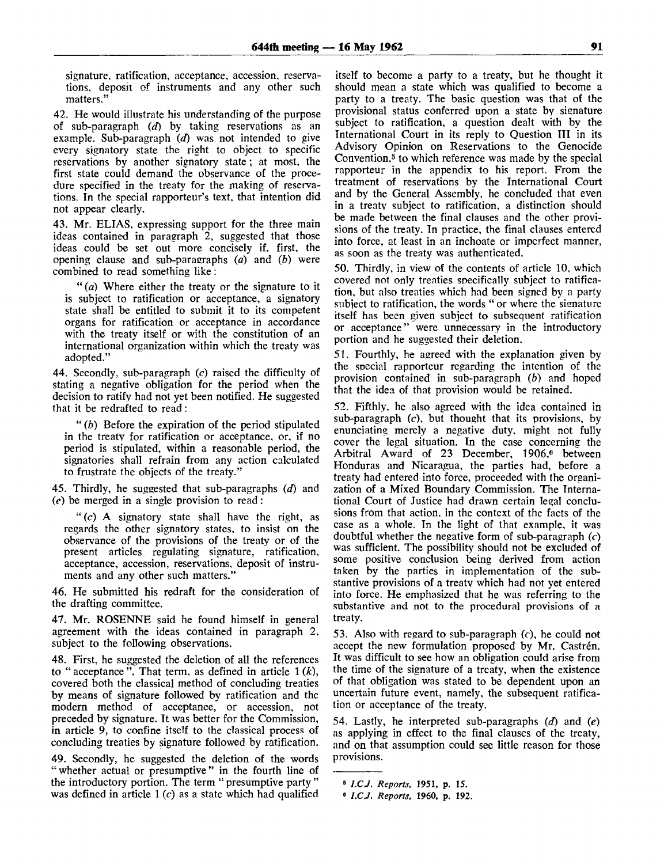signature, ratification, acceptance, accession, reservations, deposit of instruments and any other such matters."

42. He would illustrate his understanding of the purpose of sub-paragraph *(d)* by taking reservations as an example. Sub-paragraph *(d)* was not intended to give every signatory state the right to object to specific reservations by another signatory state; at most, the first state could demand the observance of the procedure specified in the treaty for the making of reservations. In the special rapporteur's text, that intention did not appear clearly.

43. Mr. ELIAS, expressing support for the three main ideas contained in paragraph 2, suggested that those ideas could be set out more concisely if, first, the opening clause and sub-paraeraphs *(a)* and *(b)* were combined to read something like:

" *(a)* Where either the treaty or the signature to it is subject to ratification or acceptance, a signatory state shall be entitled to submit it to its competent organs for ratification or acceptance in accordance with the treaty itself or with the constitution of an international organization within which the treaty was adopted."

44. Secondly, sub-paragraph *(c)* raised the difficulty of stating a negative obligation for the period when the decision to ratify had not yet been notified. He suggested that it be redrafted to read:

" *(b)* Before the expiration of the period stipulated in the treaty for ratification or acceptance, or, if no period is stipulated, within a reasonable period, the signatories shall refrain from any action calculated to frustrate the objects of the treaty."

45. Thirdly, he suggested that sub-paragraphs *(d)* and *(e)* be merged in a single provision to read:

" $(c)$  A signatory state shall have the right, as regards the other signatory states, to insist on the observance of the provisions of the treaty or of the present articles regulating signature, ratification, acceptance, accession, reservations, deposit of instruments and any other such matters.'

46. He submitted his redraft for the consideration of the drafting committee.

47. Mr. ROSENNE said he found himself in general agreement with the ideas contained in paragraph 2, subject to the following observations.

48. First, he suggested the deletion of all the references to " acceptance ". That term, as defined in article 1 *(k),* covered both the classical method of concluding treaties by means of signature followed by ratification and the modern method of acceptance, or accession, not preceded by signature. It was better for the Commission, in article 9, to confine itself to the classical process of concluding treaties by signature followed by ratification.

49. Secondly, he suggested the deletion of the words "whether actual or presumptive" in the fourth line of the introductory portion. The term " presumptive party " was defined in article  $1(c)$  as a state which had qualified

itself to become a party to a treaty, but he thought it should mean a state which was qualified to become a party to a treaty. The basic question was that of the provisional status conferred upon a state by signature subject to ratification, a question dealt with by the International Court in its reply to Question **III** in its Advisory Opinion on Reservations to the Genocide Convention.<sup>5</sup> to which reference was made by the special rapporteur in the appendix to his report. From the treatment of reservations by the International Court and by the General Assembly, he concluded that even in a treaty subject to ratification, a distinction should be made between the final clauses and the other provisions of the treaty. In practice, the final clauses entered into force, at least in an inchoate or imperfect manner, as soon as the treaty was authenticated.

50. Thirdly, in view of the contents of article 10, which covered not only treaties specifically subject to ratification, but also treaties which had been signed by a party subiect to ratification, the words " or where the signature itself has been given subject to subsequent ratification or acceptance" were unnecessary in the introductory portion and he suggested their deletion.

51. Fourthly, he agreed with the explanation given by the special rapporteur regarding the intention of the provision contained in sub-paragraph *(b)* and hoped that the idea of that provision would be retained.

52. Fifthly, he also agreed with the idea contained in sub-paragraph (c), but thought that its provisions, by enunciating merely a negative duty, might not fully cover the legal situation. In the case concerning the Arbitral Award of 23 December, 1906,<sup>6</sup> between Honduras and Nicaragua, the parties had, before a treaty had entered into force, proceeded with the organization of a Mixed Boundary Commission. The International Court of Justice had drawn certain legal conclusions from that action, in the context of the facts of the case as a whole. Tn the light of that example, it was doubtful whether the negative form of sub-paragraph *(c)* was sufficient. The possibility should not be excluded of some positive conclusion being derived from action taken by the parties in implementation of the substantive provisions of a treaty which had not yet entered into force. He emphasized that he was referring to the substantive and not to the procedural provisions of a treaty.

53. Also with regard to sub-paragraph (c), he could not accept the new formulation proposed by Mr. Castrén. It was difficult to see how an obligation could arise from the time of the signature of a treaty, when the existence of that obligation was stated to be dependent upon an uncertain future event, namely, the subsequent ratification or acceptance of the treaty.

54. Lastly, he interpreted sub-paragraphs *(d)* and *(e)* as applying in effect to the final clauses of the treaty, and on that assumption could see little reason for those provisions.

<sup>«</sup> *l.CJ. Reports,* 1951, p. 15.

<sup>6</sup>  *l.CJ. Reports,* 1960, p. 192.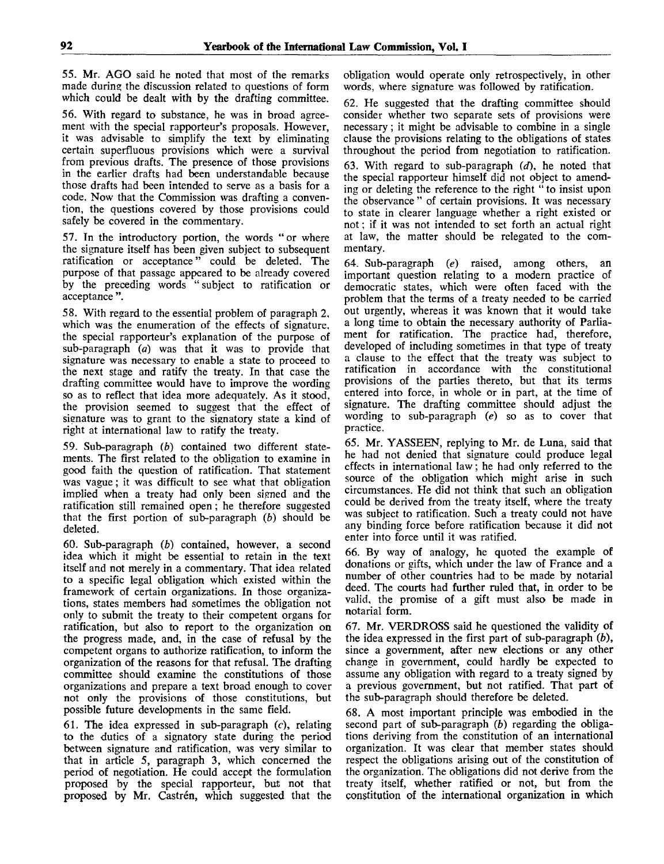55. Mr. AGO said he noted that most of the remarks made during the discussion related to questions of form which could be dealt with by the drafting committee.

56. With regard to substance, he was in broad agreement with the special rapporteur's proposals. However, it was advisable to simplify the text by eliminating certain superfluous provisions which were a survival from previous drafts. The presence of those provisions in the earlier drafts had been understandable because those drafts had been intended to serve as a basis for a code. Now that the Commission was drafting a convention, the questions covered by those provisions could safely be covered in the commentary.

57. In the introductory portion, the words " or where the signature itself has been given subject to subsequent ratification or acceptance" could be deleted. The purpose of that passage appeared to be already covered by the preceding words " subject to ratification or acceptance ".

58. With regard to the essential problem of paragraph 2, which was the enumeration of the effects of signature, the special rapporteur's explanation of the purpose of sub-paragraph *(a)* was that it was to provide that signature was necessary to enable a state to proceed to the next stage and ratify the treaty. In that case the drafting committee would have to improve the wording so as to reflect that idea more adequately. As it stood, the provision seemed to suggest that the effect of signature was to grant to the signatory state a kind of right at international law to ratify the treaty.

59. Sub-paragraph *(b)* contained two different statements. The first related to the obligation to examine in good faith the question of ratification. That statement was vague; it was difficult to see what that obligation implied when a treaty had only been signed and the ratification still remained open; he therefore suggested that the first portion of sub-paragraph *(b)* should be deleted.

60. Sub-paragraph *(b)* contained, however, a second idea which it might be essential to retain in the text itself and not merely in a commentary. That idea related to a specific legal obligation which existed within the framework of certain organizations. In those organizations, states members had sometimes the obligation not only to submit the treaty to their competent organs for ratification, but also to report to the organization on the progress made, and, in the case of refusal by the competent organs to authorize ratification, to inform the organization of the reasons for that refusal. The drafting committee should examine the constitutions of those organizations and prepare a text broad enough to cover not only the provisions of those constitutions, but possible future developments in the same field.

61. The idea expressed in sub-paragraph  $(c)$ , relating to the duties of a signatory state during the period between signature and ratification, was very similar to that in article 5, paragraph 3, which concerned the period of negotiation. He could accept the formulation proposed by the special rapporteur, but not that proposed by Mr. Castrén, which suggested that the

obligation would operate only retrospectively, in other words, where signature was followed by ratification.

62. He suggested that the drafting committee should consider whether two separate sets of provisions were necessary; it might be advisable to combine in a single clause the provisions relating to the obligations of states throughout the period from negotiation to ratification.

63. With regard to sub-paragraph *(d),* he noted that the special rapporteur himself did not object to amending or deleting the reference to the right " to insist upon the observance " of certain provisions. It was necessary to state in clearer language whether a right existed or not; if it was not intended to set forth an actual right at law, the matter should be relegated to the commentary.

64. Sub-paragraph *(e)* raised, among others, an important question relating to a modern practice of democratic states, which were often faced with the problem that the terms of a treaty needed to be carried out urgently, whereas it was known that it would take a long time to obtain the necessary authority of Parliament for ratification. The practice had, therefore, developed of including sometimes in that type of treaty a clause to the effect that the treaty was subject to ratification in accordance with the constitutional provisions of the parties thereto, but that its terms entered into force, in whole or in part, at the time of signature. The drafting committee should adjust the wording to sub-paragraph *(e)* so as to cover that practice.

65. Mr. YASSEEN, replying to Mr. de Luna, said that he had not denied that signature could produce legal effects in international law; he had only referred to the source of the obligation which might arise in such circumstances. He did not think that such an obligation could be derived from the treaty itself, where the treaty was subject to ratification. Such a treaty could not have any binding force before ratification because it did not enter into force until it was ratified.

66. By way of analogy, he quoted the example of donations or gifts, which under the law of France and a number of other countries had to be made by notarial deed. The courts had further ruled that, in order to be valid, the promise of a gift must also be made in notarial form.

67. Mr. VERDROSS said he questioned the validity of the idea expressed in the first part of sub-paragraph *(b),* since a government, after new elections or any other change in government, could hardly be expected to assume any obligation with regard to a treaty signed by a previous government, but not ratified. That part of the sub-paragraph should therefore be deleted.

68. A most important principle was embodied in the second part of sub-paragraph *(b)* regarding the obligations deriving from the constitution of an international organization. It was clear that member states should respect the obligations arising out of the constitution of the organization. The obligations did not derive from the treaty itself, whether ratified or not, but from the constitution of the international organization in which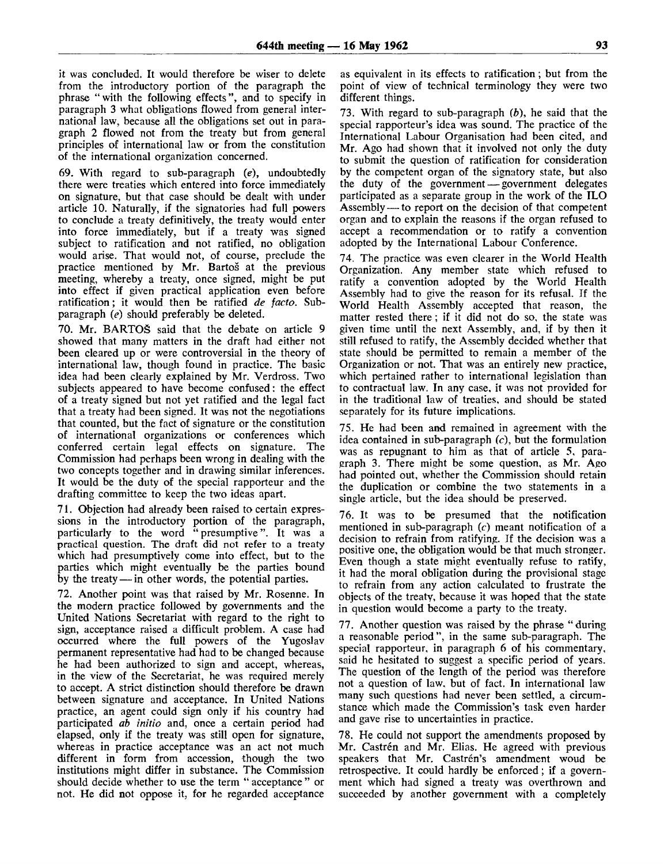it was concluded. It would therefore be wiser to delete from the introductory portion of the paragraph the phrase "with the following effects", and to specify in paragraph 3 what obligations flowed from general international law, because all the obligations set out in paragraph 2 flowed not from the treaty but from general principles of international law or from the constitution of the international organization concerned.

69. With regard to sub-paragraph *(e),* undoubtedly there were treaties which entered into force immediately on signature, but that case should be dealt with under article 10. Naturally, if the signatories had full powers to conclude a treaty definitively, the treaty would enter into force immediately, but if a treaty was signed subject to ratification and not ratified, no obligation would arise. That would not, of course, preclude the practice mentioned by Mr. Bartos at the previous meeting, whereby a treaty, once signed, might be put into effect if given practical application even before ratification; it would then be ratified *de facto.* Subparagraph *(e)* should preferably be deleted.

70. Mr. BARTOS said that the debate on article 9 showed that many matters in the draft had either not been cleared up or were controversial in the theory of international law, though found in practice. The basic idea had been clearly explained by Mr. Verdross. Two subjects appeared to have become confused: the effect of a treaty signed but not yet ratified and the legal fact that a treaty had been signed. It was not the negotiations that counted, but the fact of signature or the constitution of international organizations or conferences which conferred certain legal effects on signature. The Commission had perhaps been wrong in dealing with the two concepts together and in drawing similar inferences. It would be the duty of the special rapporteur and the drafting committee to keep the two ideas apart.

71. Objection had already been raised to certain expressions in the introductory portion of the paragraph, particularly to the word "presumptive". It was a practical question. The draft did not refer to a treaty which had presumptively come into effect, but to the parties which might eventually be the parties bound by the treaty — in other words, the potential parties.

72. Another point was that raised by Mr. Rosenne. In the modern practice followed by governments and the United Nations Secretariat with regard to the right to sign, acceptance raised a difficult problem. A case had occurred where the full powers of the Yugoslav permanent representative had had to be changed because he had been authorized to sign and accept, whereas, in the view of the Secretariat, he was required merely to accept. A strict distinction should therefore be drawn between signature and acceptance. In United Nations practice, an agent could sign only if his country had participated *ab initio* and, once a certain period had elapsed, only if the treaty was still open for signature, whereas in practice acceptance was an act not much different in form from accession, though the two institutions might differ in substance. The Commission should decide whether to use the term " acceptance " or not. He did not oppose it, for he regarded acceptance as equivalent in its effects to ratification; but from the point of view of technical terminology they were two different things.

73. With regard to sub-paragraph *(b),* he said that the special rapporteur's idea was sound. The practice of the International Labour Organisation had been cited, and Mr. Ago had shown that it involved not only the duty to submit the question of ratification for consideration by the competent organ of the signatory state, but also the duty of the government — government delegates participated as a separate group in the work of the ILO Assembly — to report on the decision of that competent organ and to explain the reasons if the organ refused to accept a recommendation or to ratify a convention adopted by the International Labour Conference.

74. The practice was even clearer in the World Health Organization. Any member state which refused to ratify a convention adopted by the World Health Assembly had to give the reason for its refusal. If the World Health Assembly accepted that reason, the matter rested there ; if it did not do so, the state was given time until the next Assembly, and, if by then it still refused to ratify, the Assembly decided whether that state should be permitted to remain a member of the Organization or not. That was an entirely new practice, which pertained rather to international legislation than to contractual law. In any case, it was not provided for in the traditional law of treaties, and should be stated separately for its future implications.

75. He had been and remained in agreement with the idea contained in sub-paragraph *(c),* but the formulation was as repugnant to him as that of article 5, paragraph 3. There might be some question, as Mr. Ago had pointed out, whether the Commission should retain the duplication or combine the two statements in a single article, but the idea should be preserved.

76. It was to be presumed that the notification mentioned in sub-paragraph (c) meant notification of a decision to refrain from ratifying. If the decision was a positive one, the obligation would be that much stronger. Even though a state might eventually refuse to ratify, it had the moral obligation during the provisional stage to refrain from any action calculated to frustrate the objects of the treaty, because it was hoped that the state in question would become a party to the treaty.

77. Another question was raised by the phrase " during a reasonable period", in the same sub-paragraph. The special rapporteur, in paragraph 6 of his commentary, said he hesitated to suggest a specific period of years. The question of the length of the period was therefore not a question of law, but of fact. In international law many such questions had never been settled, a circumstance which made the Commission's task even harder and gave rise to uncertainties in practice.

78. He could not support the amendments proposed by Mr. Castrén and Mr. Elias. He agreed with previous speakers that Mr. Castrén's amendment woud be retrospective. It could hardly be enforced; if a government which had signed a treaty was overthrown and succeeded by another government with a completely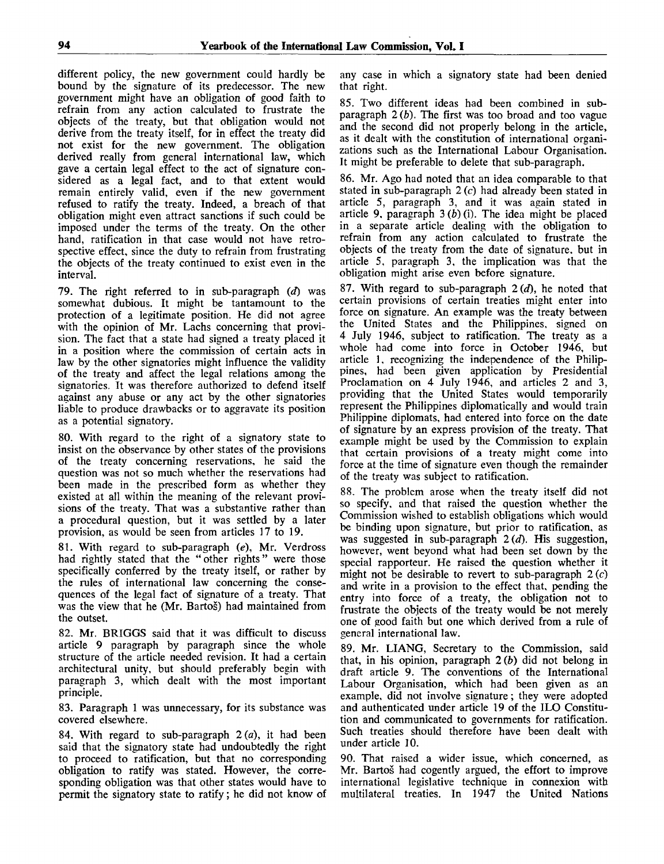different policy, the new government could hardly be bound by the signature of its predecessor. The new government might have an obligation of good faith to refrain from any action calculated to frustrate the objects of the treaty, but that obligation would not derive from the treaty itself, for in effect the treaty did not exist for the new government. The obligation derived really from general international law, which gave a certain legal effect to the act of signature considered as a legal fact, and to that extent would remain entirely valid, even if the new government refused to ratify the treaty. Indeed, a breach of that obligation might even attract sanctions if such could be imposed under the terms of the treaty. On the other hand, ratification in that case would not have retrospective effect, since the duty to refrain from frustrating the objects of the treaty continued to exist even in the interval.

79. The right referred to in sub-paragraph *(d)* was somewhat dubious. It might be tantamount to the protection of a legitimate position. He did not agree with the opinion of Mr. Lachs concerning that provision. The fact that a state had signed a treaty placed it in a position where the commission of certain acts in law by the other signatories might influence the validity of the treaty and affect the legal relations among the signatories. It was therefore authorized to defend itself against any abuse or any act by the other signatories liable to produce drawbacks or to aggravate its position as a potential signatory.

80. With regard to the right of a signatory state to insist on the observance by other states of the provisions of the treaty concerning reservations, he said the question was not so much whether the reservations had been made in the prescribed form as whether they existed at all within the meaning of the relevant provisions of the treaty. That was a substantive rather than a procedural question, but it was settled by a later provision, as would be seen from articles 17 to 19.

81. With regard to sub-paragraph *(e),* Mr. Verdross had rightly stated that the "other rights" were those specifically conferred by the treaty itself, or rather by the rules of international law concerning the consequences of the legal fact of signature of a treaty. That was the view that he (Mr. Bartos) had maintained from the outset.

82. Mr. BRIGGS said that it was difficult to discuss article 9 paragraph by paragraph since the whole structure of the article needed revision. It had a certain architectural unity, but should preferably begin with paragraph 3, which dealt with the most important principle.

83. Paragraph 1 was unnecessary, for its substance was covered elsewhere.

84. With regard to sub-paragraph  $2(a)$ , it had been said that the signatory state had undoubtedly the right to proceed to ratification, but that no corresponding obligation to ratify was stated. However, the corresponding obligation was that other states would have to permit the signatory state to ratify; he did not know of

any case in which a signatory state had been denied that right.

85. Two different ideas had been combined in subparagraph 2 *(b).* The first was too broad and too vague and the second did not properly belong in the article, as it dealt with the constitution of international organizations such as the International Labour Organisation. It might be preferable to delete that sub-paragraph.

86. Mr. Ago had noted that an idea comparable to that stated in sub-paragraph  $2(c)$  had already been stated in article 5, paragraph 3, and it was again stated in article 9, paragraph 3 *(b)* (i). The idea might be placed in a separate article dealing with the obligation to refrain from any action calculated to frustrate the objects of the treaty from the date of signature, but in article 5, paragraph 3, the implication was that the obligation might arise even before signature.

87. With regard to sub-paragraph *2(d),* he noted that certain provisions of certain treaties might enter into force on signature. An example was the treaty between the United States and the Philippines, signed on 4 July 1946, subject to ratification. The treaty as a whole had come into force in October 1946, but article 1, recognizing the independence of the Philippines, had been given application by Presidential Proclamation on 4 July 1946, and articles 2 and 3, providing that the United States would temporarily represent the Philippines diplomatically and would train Philippine diplomats, had entered into force on the date of signature by an express provision of the treaty. That example might be used by the Commission to explain that certain provisions of a treaty might come into force at the time of signature even though the remainder of the treaty was subject to ratification.

88. The problem arose when the treaty itself did not so specify, and that raised the question whether the Commission wished to establish obligations which would be binding upon signature, but prior to ratification, as was suggested in sub-paragraph *2(d).* His suggestion, however, went beyond what had been set down by the special rapporteur. He raised the question whether it might not be desirable to revert to sub-paragraph  $2(c)$ and write in a provision to the effect that, pending the entry into force of a treaty, the obligation not to frustrate the objects of the treaty would be not merely one of good faith but one which derived from a rule of general international law.

89. Mr. LIANG, Secretary to the Commission, said that, in his opinion, paragraph *2(b)* did not belong in draft article 9. The conventions of the International Labour Organisation, which had been given as an example, did not involve signature; they were adopted and authenticated under article 19 of the ILO Constitution and communicated to governments for ratification. Such treaties should therefore have been dealt with under article 10.

90. That raised a wider issue, which concerned, as Mr. Bartos had cogently argued, the effort to improve international legislative technique in connexion with multilateral treaties. In 1947 the United Nations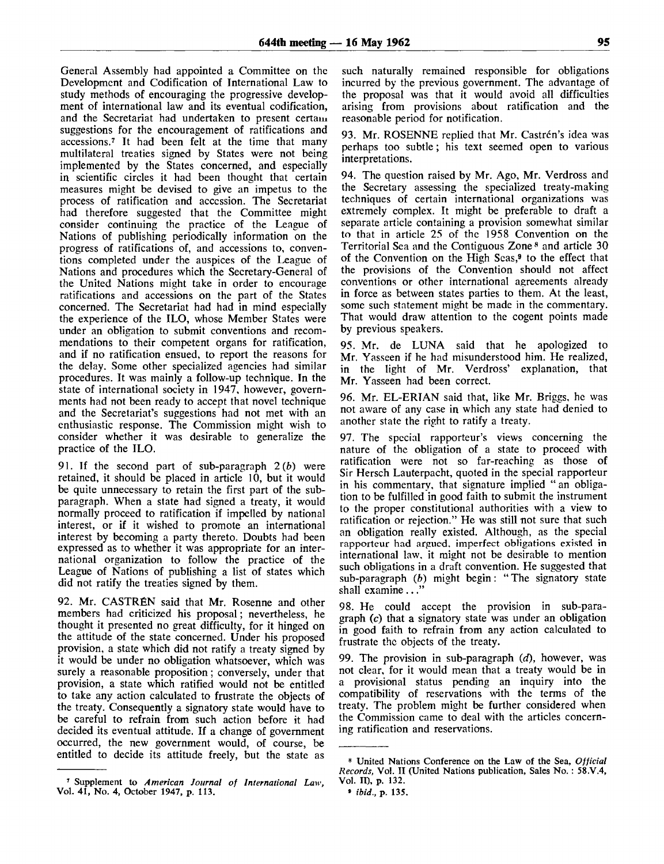General Assembly had appointed a Committee on the Development and Codification of International Law to study methods of encouraging the progressive development of international law and its eventual codification, and the Secretariat had undertaken to present certain suggestions for the encouragement of ratifications and accessions.<sup>7</sup> It had been felt at the time that many multilateral treaties signed by States were not being implemented by the States concerned, and especially in scientific circles it had been thought that certain measures might be devised to give an impetus to the process of ratification and accession. The Secretariat had therefore suggested that the Committee might consider continuing the practice of the League of Nations of publishing periodically information on the progress of ratifications of, and accessions to, conventions completed under the auspices of the League of Nations and procedures which the Secretary-General of the United Nations might take in order to encourage ratifications and accessions on the part of the States concerned. The Secretariat had had in mind especially the experience of the ILO, whose Member States were under an obligation to submit conventions and recommendations to their competent organs for ratification, and if no ratification ensued, to report the reasons for the delay. Some other specialized agencies had similar procedures. It was mainly a follow-up technique. In the state of international society in 1947, however, governments had not been ready to accept that novel technique and the Secretariat's suggestions had not met with an enthusiastic response. The Commission might wish to consider whether it was desirable to generalize the practice of the ILO.

91. If the second part of sub-paragraph 2 *(b)* were retained, it should be placed in article 10, but it would be quite unnecessary to retain the first part of the subparagraph. When a state had signed a treaty, it would normally proceed to ratification if impelled by national interest, or if it wished to promote an international interest by becoming a party thereto. Doubts had been expressed as to whether it was appropriate for an international organization to follow the practice of the League of Nations of publishing a list of states which did not ratify the treaties signed by them.

92. Mr. CASTRÉN said that Mr. Rosenne and other members had criticized his proposal; nevertheless, he thought it presented no great difficulty, for it hinged on the attitude of the state concerned. Under his proposed provision, a state which did not ratify a treaty signed by it would be under no obligation whatsoever, which was surely a reasonable proposition; conversely, under that provision, a state which ratified would not be entitled to take any action calculated to frustrate the objects of the treaty. Consequently a signatory state would have to be careful to refrain from such action before it had decided its eventual attitude. If a change of government occurred, the new government would, of course, be entitled to decide its attitude freely, but the state as

such naturally remained responsible for obligations incurred by the previous government. The advantage of the proposal was that it would avoid all difficulties arising from provisions about ratification and the reasonable period for notification.

93. Mr. ROSENNE replied that Mr. Castrén's idea was perhaps too subtle; his text seemed open to various interpretations.

94. The question raised by Mr. Ago, Mr. Verdross and the Secretary assessing the specialized treaty-making techniques of certain international organizations was extremely complex. It might be preferable to draft a separate article containing a provision somewhat similar to that in article 25 of the 1958 Convention on the Territorial Sea and the Contiguous Zone <sup>8</sup> and article 30 of the Convention on the High Seas,<sup>9</sup> to the effect that the provisions of the Convention should not affect conventions or other international agreements already in force as between states parties to them. At the least, some such statement might be made in the commentary. That would draw attention to the cogent points made by previous speakers.

95. Mr. de LUNA said that he apologized to Mr. Yasseen if he had misunderstood him. He realized, in the light of Mr. Verdross' explanation, that Mr. Yasseen had been correct.

96. Mr. EL-ERIAN said that, like Mr. Briggs, he was not aware of any case in which any state had denied to another state the right to ratify a treaty.

97. The special rapporteur's views concerning the nature of the obligation of a state to proceed with ratification were not so far-reaching as those of Sir Hersch Lauterpacht, quoted in the special rapporteur in his commentary, that signature implied " an obligation to be fulfilled in good faith to submit the instrument to the proper constitutional authorities with a view to ratification or rejection." He was still not sure that such an obligation really existed. Although, as the special rapporteur had argued, imperfect obligations existed in international law, it might not be desirable to mention such obligations in a draft convention. He suggested that sub-paragraph *(b)* might begin: " The signatory state shall examine ...'

98. He could accept the provision in sub-paragraph (c) that a signatory state was under an obligation in good faith to refrain from any action calculated to frustrate the objects of the treaty.

99. The provision in sub-paragraph *(d),* however, was not clear, for it would mean that a treaty would be in a provisional status pending an inquiry into the compatibility of reservations with the terms of the treaty. The problem might be further considered when the Commission came to deal with the articles concerning ratification and reservations.

<sup>7</sup> Supplement to *American Journal of International Law,* Vol. 41, No. 4, October 1947, p. 113.

<sup>8</sup> United Nations Conference on the Law of the Sea, *Official Records,* Vol. II (United Nations publication, Sales No.: 58.V.4, Vol. II), p. 132.

<sup>»</sup> *ibid.,* p. 135.